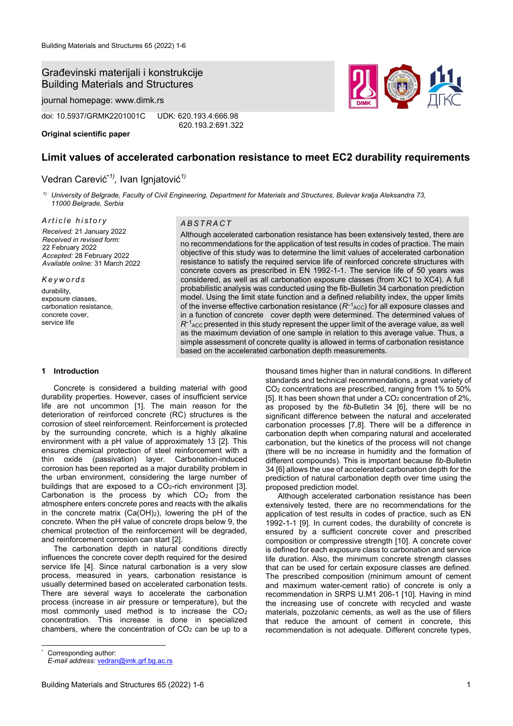# Građevinski materijali i konstrukcije Building Materials and Structures

journal homepage: www.dimk.rs

doi: 10.5937/GRMK2201001C UDK: 620.193.4:666.98

**Original scientific paper**

620.193.2:691.322

# **Limit values of accelerated carbonation resistance to meet EC2 durability requirements**

# Vedran Carević\**1) ,* Ivan Ignjatović*1)*

*1) University of Belgrade, Faculty of Civil Engineering, Department for Materials and Structures, Bulevar kralja Aleksandra 73, 11000 Belgrade, Serbia*

*A r t i c l e h i s t o r y A B S T R A C T Received:* 21 January 2022 *Received in revised form:*  22 February 2022 *Accepted:* 28 February 2022 *Available online:* 31 March 2022

*K e y w o r d s* durability, exposure classes, carbonation resistance, concrete cover,

#### **1 Introduction**

service life

Concrete is considered a building material with good durability properties. However, cases of insufficient service life are not uncommon [1]. The main reason for the deterioration of reinforced concrete (RC) structures is the corrosion of steel reinforcement. Reinforcement is protected by the surrounding concrete, which is a highly alkaline environment with a pH value of approximately 13 [2]. This ensures chemical protection of steel reinforcement with a thin oxide (passivation) layer. Carbonation-induced corrosion has been reported as a major durability problem in the urban environment, considering the large number of buildings that are exposed to a  $CO<sub>2</sub>$ -rich environment [3]. Carbonation is the process by which  $CO<sub>2</sub>$  from the atmosphere enters concrete pores and reacts with the alkalis in the concrete matrix  $(Ca(OH)_2)$ , lowering the pH of the concrete. When the pH value of concrete drops below 9, the chemical protection of the reinforcement will be degraded, and reinforcement corrosion can start [2].

The carbonation depth in natural conditions directly influences the concrete cover depth required for the desired service life [4]. Since natural carbonation is a very slow process, measured in years, carbonation resistance is usually determined based on accelerated carbonation tests. There are several ways to accelerate the carbonation process (increase in air pressure or temperature), but the most commonly used method is to increase the CO<sup>2</sup> concentration. This increase is done in specialized chambers, where the concentration of  $CO<sub>2</sub>$  can be up to a

Although accelerated carbonation resistance has been extensively tested, there are no recommendations for the application of test results in codes of practice. The main objective of this study was to determine the limit values of accelerated carbonation resistance to satisfy the required service life of reinforced concrete structures with concrete covers as prescribed in EN 1992-1-1. The service life of 50 years was considered, as well as all carbonation exposure classes (from XC1 to XC4). A full probabilistic analysis was conducted using the fib-Bulletin 34 carbonation prediction model. Using the limit state function and a defined reliability index, the upper limits of the inverse effective carbonation resistance  $(R^{-1}_{\text{ACC}})$  for all exposure classes and in a function of concrete cover depth were determined. The determined values of  $R^{-1}$ <sub>ACC</sub> presented in this study represent the upper limit of the average value, as well as the maximum deviation of one sample in relation to this average value. Thus, a simple assessment of concrete quality is allowed in terms of carbonation resistance based on the accelerated carbonation depth measurements.

> thousand times higher than in natural conditions. In different standards and technical recommendations, a great variety of CO<sup>2</sup> concentrations are prescribed, ranging from 1% to 50% [5]. It has been shown that under a CO<sub>2</sub> concentration of 2%, as proposed by the *fib*-Bulletin 34 [6], there will be no significant difference between the natural and accelerated carbonation processes [7,8]. There will be a difference in carbonation depth when comparing natural and accelerated carbonation, but the kinetics of the process will not change (there will be no increase in humidity and the formation of different compounds). This is important because *fib*-Bulletin 34 [6] allows the use of accelerated carbonation depth for the prediction of natural carbonation depth over time using the proposed prediction model.

> Although accelerated carbonation resistance has been extensively tested, there are no recommendations for the application of test results in codes of practice, such as EN 1992-1-1 [9]. In current codes, the durability of concrete is ensured by a sufficient concrete cover and prescribed composition or compressive strength [10]. A concrete cover is defined for each exposure class to carbonation and service life duration. Also, the minimum concrete strength classes that can be used for certain exposure classes are defined. The prescribed composition (minimum amount of cement and maximum water-cement ratio) of concrete is only a recommendation in SRPS U.M1 206-1 [10]. Having in mind the increasing use of concrete with recycled and waste materials, pozzolanic cements, as well as the use of fillers that reduce the amount of cement in concrete, this recommendation is not adequate. Different concrete types,

Corresponding author:

*E-mail address:* vedran@imk.grf.bg.ac.rs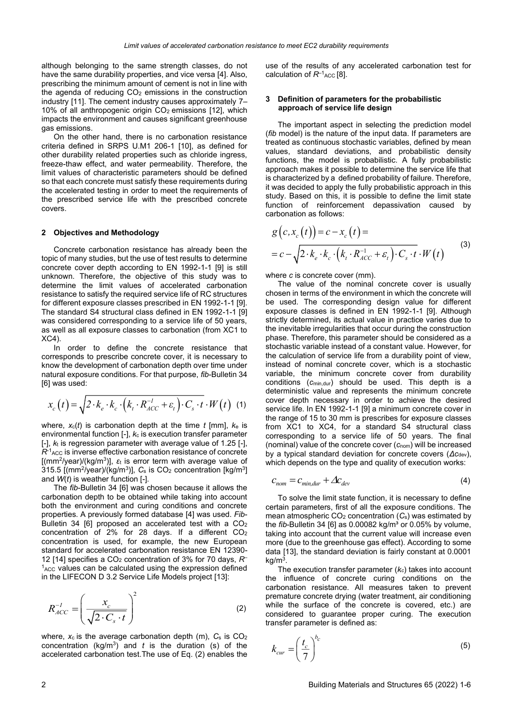although belonging to the same strength classes, do not have the same durability properties, and vice versa [4]. Also, prescribing the minimum amount of cement is not in line with the agenda of reducing  $CO<sub>2</sub>$  emissions in the construction industry [11]. The cement industry causes approximately 7– 10% of all anthropogenic origin  $CO<sub>2</sub>$  emissions [12], which impacts the environment and causes significant greenhouse gas emissions.

On the other hand, there is no carbonation resistance criteria defined in SRPS U.M1 206-1 [10], as defined for other durability related properties such as chloride ingress, freeze-thaw effect, and water permeability. Therefore, the limit values of characteristic parameters should be defined so that each concrete must satisfy these requirements during the accelerated testing in order to meet the requirements of the prescribed service life with the prescribed concrete covers.

#### **2 Objectives and Methodology**

Concrete carbonation resistance has already been the topic of many studies, but the use of test results to determine concrete cover depth according to EN 1992-1-1 [9] is still unknown. Therefore, the objective of this study was to determine the limit values of accelerated carbonation resistance to satisfy the required service life of RC structures for different exposure classes prescribed in EN 1992-1-1 [9]. The standard S4 structural class defined in EN 1992-1-1 [9] was considered corresponding to a service life of 50 years, as well as all exposure classes to carbonation (from XC1 to XC4).

In order to define the concrete resistance that corresponds to prescribe concrete cover, it is necessary to know the development of carbonation depth over time under natural exposure conditions. For that purpose, *fib*-Bulletin 34 [6] was used:

$$
x_c(t) = \sqrt{2 \cdot k_e \cdot k_c \cdot (k_t \cdot R_{ACC}^{-1} + \varepsilon_t) \cdot C_s \cdot t} \cdot W(t)
$$
 (1)

where,  $x_c(t)$  is carbonation depth at the time  $t$  [mm],  $k_e$  is environmental function [-], *k*<sup>c</sup> is execution transfer parameter [-], *k*<sup>t</sup> is regression parameter with average value of 1.25 [-],  $R<sup>1</sup>_{\text{ACC}}$  is inverse effective carbonation resistance of concrete [(mm<sup>2</sup> /year)/(kg/m<sup>3</sup> )], *ε*<sup>t</sup> is error term with average value of 315.5 [(mm<sup>2</sup>/year)/(kg/m<sup>3</sup>)],  $C_s$  is  $CO_2$  concentration [kg/m<sup>3</sup>] and *W*(*t*) is weather function [-].

The *fib*-Bulletin 34 [6] was chosen because it allows the carbonation depth to be obtained while taking into account both the environment and curing conditions and concrete properties. A previously formed database [4] was used. *Fib*-Bulletin 34 [6] proposed an accelerated test with a CO<sup>2</sup> concentration of 2% for 28 days. If a different CO<sup>2</sup> concentration is used, for example, the new European standard for accelerated carbonation resistance EN 12390- 12 [14] specifies a CO<sup>2</sup> concentration of 3% for 70 days, *R*–  $<sup>1</sup>$ Acc values can be calculated using the expression defined</sup> in the LIFECON D 3.2 Service Life Models project [13]:

$$
R_{ACC}^{-1} = \left(\frac{x_c}{\sqrt{2 \cdot C_s \cdot t}}\right)^2 \tag{2}
$$

where, *x*c is the average carbonation depth (m), *C*<sup>s</sup> is CO<sup>2</sup> concentration ( $kg/m<sup>3</sup>$ ) and *t* is the duration (s) of the accelerated carbonation test.The use of Eq. (2) enables the

use of the results of any accelerated carbonation test for calculation of  $R^{-1}$ <sub>ACC</sub> [8].

## **3 Definition of parameters for the probabilistic approach of service life design**

The important aspect in selecting the prediction model (*fib* model) is the nature of the input data. If parameters are treated as continuous stochastic variables, defined by mean values, standard deviations, and probabilistic density functions, the model is probabilistic. A fully probabilistic approach makes it possible to determine the service life that is characterized by a defined probability of failure. Therefore, it was decided to apply the fully probabilistic approach in this study. Based on this, it is possible to define the limit state function of reinforcement depassivation caused by carbonation as follows:

$$
g(c, x_c(t)) = c - x_c(t) =
$$
  
= c - \sqrt{2 \cdot k\_e \cdot k\_c \cdot (k\_t \cdot R\_{ACC}^{-1} + \varepsilon\_t) \cdot C\_s \cdot t} \cdot W(t) (3)

where *c* is concrete cover (mm).

The value of the nominal concrete cover is usually chosen in terms of the environment in which the concrete will be used. The corresponding design value for different exposure classes is defined in EN 1992-1-1 [9]. Although strictly determined, its actual value in practice varies due to the inevitable irregularities that occur during the construction phase. Therefore, this parameter should be considered as a stochastic variable instead of a constant value. However, for the calculation of service life from a durability point of view, instead of nominal concrete cover, which is a stochastic variable, the minimum concrete cover from durability conditions (*c*min,dur) should be used. This depth is a deterministic value and represents the minimum concrete cover depth necessary in order to achieve the desired service life. In EN 1992-1-1 [9] a minimum concrete cover in the range of 15 to 30 mm is prescribes for exposure classes from XC1 to XC4, for a standard S4 structural class corresponding to a service life of 50 years. The final (nominal) value of the concrete cover (*c*nom) will be increased by a typical standard deviation for concrete covers (*Δc*dev), which depends on the type and quality of execution works:

$$
c_{nom} = c_{min, dur} + \Delta c_{dev}
$$
 (4)

To solve the limit state function, it is necessary to define certain parameters, first of all the exposure conditions. The mean atmospheric CO<sup>2</sup> concentration (*C*s) was estimated by the  $fib$ -Bulletin 34 [6] as  $0.00082$  kg/m<sup>3</sup> or  $0.05%$  by volume, taking into account that the current value will increase even more (due to the greenhouse gas effect). According to some data [13], the standard deviation is fairly constant at 0.0001 kg/m<sup>3</sup> .

The execution transfer parameter (*kc*) takes into account the influence of concrete curing conditions on the carbonation resistance. All measures taken to prevent premature concrete drying (water treatment, air conditioning while the surface of the concrete is covered, etc.) are considered to guarantee proper curing. The execution transfer parameter is defined as:

$$
k_{cur} = \left(\frac{t_c}{7}\right)^{b_c} \tag{5}
$$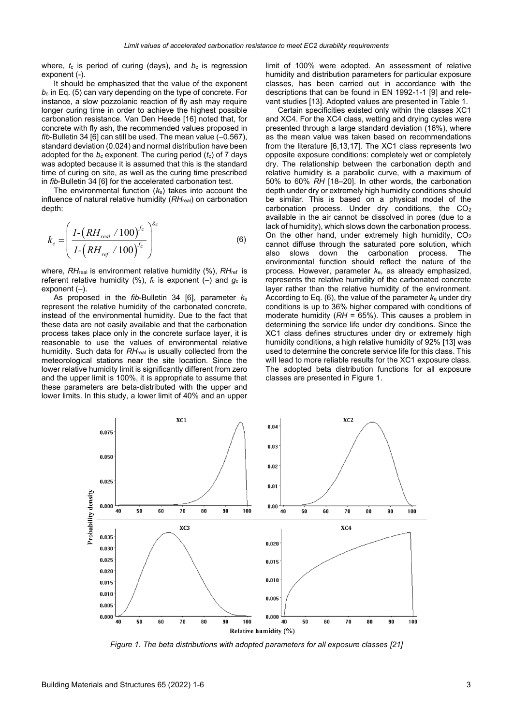where,  $t_c$  is period of curing (days), and  $b_c$  is regression exponent (-)

It should be emphasized that the value of the exponent *b*<sup>c</sup> in Eq. (5) can vary depending on the type of concrete. For instance, a slow pozzolanic reaction of fly ash may require longer curing time in order to achieve the highest possible carbonation resistance. Van Den Heede [16] noted that, for concrete with fly ash, the recommended values proposed in *fib*-Bulletin 34 [6] can still be used. The mean value (–0.567), standard deviation (0.024) and normal distribution have been adopted for the *b<sup>c</sup>* exponent. The curing period (*t*c) of 7 days was adopted because it is assumed that this is the standard time of curing on site, as well as the curing time prescribed in *fib*-Bulletin 34 [6] for the accelerated carbonation test.

The environmental function (*k*e) takes into account the influence of natural relative humidity (*RH*real) on carbonation depth:

$$
k_e = \left(\frac{I - (RH_{real} / 100)^{f_c}}{I - (RH_{ref} / 100)^{f_c}}\right)^{g_c}
$$
(6)

where, *RH*real is environment relative humidity (%), *RH*ref is referent relative humidity (%),  $f_c$  is exponent (-) and  $g_c$  is exponent  $(-)$ .

As proposed in the *fib*-Bulletin 34 [6], parameter *k*<sup>e</sup> represent the relative humidity of the carbonated concrete, instead of the environmental humidity. Due to the fact that these data are not easily available and that the carbonation process takes place only in the concrete surface layer, it is reasonable to use the values of environmental relative humidity. Such data for *RH*<sub>real</sub> is usually collected from the meteorological stations near the site location. Since the lower relative humidity limit is significantly different from zero and the upper limit is 100%, it is appropriate to assume that these parameters are beta-distributed with the upper and lower limits. In this study, a lower limit of 40% and an upper limit of 100% were adopted. An assessment of relative humidity and distribution parameters for particular exposure classes, has been carried out in accordance with the descriptions that can be found in EN 1992-1-1 [9] and relevant studies [13]. Adopted values are presented in Table 1.

Certain specificities existed only within the classes XC1 and XC4. For the XC4 class, wetting and drying cycles were presented through a large standard deviation (16%), where as the mean value was taken based on recommendations from the literature [6,13,17]. The XC1 class represents two opposite exposure conditions: completely wet or completely dry. The relationship between the carbonation depth and relative humidity is a parabolic curve, with a maximum of 50% to 60% *RH* [18–20]. In other words, the carbonation depth under dry or extremely high humidity conditions should be similar. This is based on a physical model of the carbonation process. Under dry conditions, the CO<sub>2</sub> available in the air cannot be dissolved in pores (due to a lack of humidity), which slows down the carbonation process. On the other hand, under extremely high humidity, CO<sup>2</sup> cannot diffuse through the saturated pore solution, which also slows down the carbonation process. The environmental function should reflect the nature of the process. However, parameter *k*e, as already emphasized, represents the relative humidity of the carbonated concrete layer rather than the relative humidity of the environment. According to Eq. (6), the value of the parameter  $k<sub>e</sub>$  under dry conditions is up to 36% higher compared with conditions of moderate humidity (*RH* = 65%). This causes a problem in determining the service life under dry conditions. Since the XC1 class defines structures under dry or extremely high humidity conditions, a high relative humidity of 92% [13] was used to determine the concrete service life for this class. This will lead to more reliable results for the XC1 exposure class. The adopted beta distribution functions for all exposure classes are presented in Figure 1.



*Figure 1. The beta distributions with adopted parameters for all exposure classes [21]*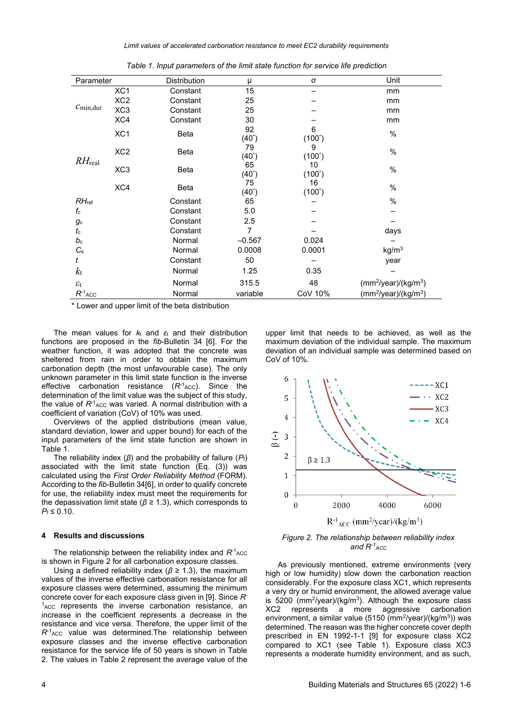*Limit values of accelerated carbonation resistance to meet EC2 durability requirements*

| Parameter             |                 | Distribution | μ              | σ               | Unit                                         |  |
|-----------------------|-----------------|--------------|----------------|-----------------|----------------------------------------------|--|
| $C_{\text{min,dur}}$  | XC <sub>1</sub> | Constant     | 15             |                 | mm                                           |  |
|                       | XC <sub>2</sub> | Constant     | 25             |                 | mm                                           |  |
|                       | XC <sub>3</sub> | Constant     | 25             |                 | mm                                           |  |
|                       | XC4             | Constant     | 30             |                 | mm                                           |  |
| $RH_{\text{real}}$    | XC <sub>1</sub> | Beta         | 92<br>$(40^*)$ | 6<br>$(100^*)$  | %                                            |  |
|                       | XC <sub>2</sub> | Beta         | 79<br>$(40^*)$ | 9<br>$(100^*)$  | %                                            |  |
|                       | XC <sub>3</sub> | Beta         | 65<br>$(40^*)$ | 10<br>$(100^*)$ | %                                            |  |
|                       | XC4             | Beta         | 75<br>(40*)    | 16<br>$(100^*)$ | %                                            |  |
| $RH_{\text{ref}}$     |                 | Constant     | 65             |                 | $\%$                                         |  |
| $f_{\rm c}$           |                 | Constant     | 5.0            |                 |                                              |  |
| $g_{\rm c}$           |                 | Constant     | 2.5            |                 |                                              |  |
| $t_{\rm c}$           |                 | Constant     | $\overline{7}$ |                 | days                                         |  |
| $b_{\rm c}$           |                 | Normal       | $-0.567$       | 0.024           |                                              |  |
| $C_{\rm s}$           |                 | Normal       | 0.0008         | 0.0001          | kg/m <sup>3</sup>                            |  |
|                       |                 | Constant     | 50             |                 | year                                         |  |
| $k_{\rm t}$           |                 | Normal       | 1.25           | 0.35            |                                              |  |
| $\varepsilon_{\rm t}$ |                 | Normal       | 315.5          | 48              | $(mm^2$ /year)/(kg/m <sup>3</sup> )          |  |
| $R^{-1}$ ACC          |                 | Normal       | variable       | CoV 10%         | (mm <sup>2</sup> /year)/(kg/m <sup>3</sup> ) |  |

*Table 1. Input parameters of the limit state function for service life prediction*

\* Lower and upper limit of the beta distribution

The mean values for *k*<sup>t</sup> and *ε*<sup>t</sup> and their distribution functions are proposed in the *fib*-Bulletin 34 [6]. For the weather function, it was adopted that the concrete was sheltered from rain in order to obtain the maximum carbonation depth (the most unfavourable case). The only unknown parameter in this limit state function is the inverse effective carbonation resistance (R<sup>-1</sup>Acc). Since the determination of the limit value was the subject of this study, the value of  $R^1$ <sub>ACC</sub> was varied. A normal distribution with a coefficient of variation (CoV) of 10% was used.

Overviews of the applied distributions (mean value, standard deviation, lower and upper bound) for each of the input parameters of the limit state function are shown in Table 1.

The reliability index (*β*) and the probability of failure (*P*f) associated with the limit state function (Eq. (3)) was calculated using the *First Order Reliability Method* (FORM). According to the *fib*-Bulletin 34[6], in order to qualify concrete for use, the reliability index must meet the requirements for the depassivation limit state (*β* ≥ 1.3), which corresponds to  $P_f \leq 0.10$ .

## **4 Results and discussions**

The relationship between the reliability index and  $R^{\text{-}1}$ <sub>ACC</sub> is shown in Figure 2 for all carbonation exposure classes.

Using a defined reliability index (*β* ≥ 1.3), the maximum values of the inverse effective carbonation resistance for all exposure classes were determined, assuming the minimum concrete cover for each exposure class given in [9]. Since *R*- $<sup>1</sup>_{ACC}$  represents the inverse carbonation resistance, an</sup> increase in the coefficient represents a decrease in the resistance and vice versa. Therefore, the upper limit of the R<sup>-1</sup><sub>ACC</sub> value was determined.The relationship between exposure classes and the inverse effective carbonation resistance for the service life of 50 years is shown in Table 2. The values in Table 2 represent the average value of the

upper limit that needs to be achieved, as well as the maximum deviation of the individual sample. The maximum deviation of an individual sample was determined based on CoV of 10%.



*Figure 2. The relationship between reliability index and R-1 ACC*

As previously mentioned, extreme environments (very high or low humidity) slow down the carbonation reaction considerably. For the exposure class XC1, which represents a very dry or humid environment, the allowed average value is 5200 ( $mm^2$ /year)/(kg/ $m^3$ ). Although the exposure class XC2 represents a more aggressive carbonation environment, a similar value (5150 (mm<sup>2</sup>/year)/(kg/m<sup>3</sup>)) was determined. The reason was the higher concrete cover depth prescribed in EN 1992-1-1 [9] for exposure class XC2 compared to XC1 (see Table 1). Exposure class XC3 represents a moderate humidity environment, and as such,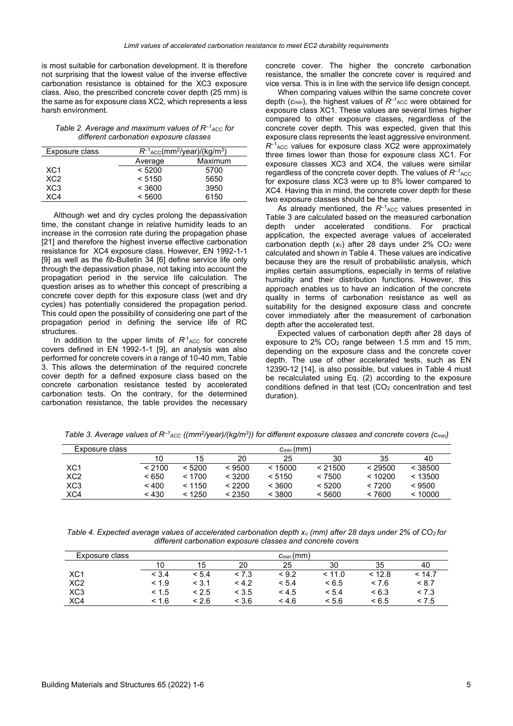is most suitable for carbonation development. It is therefore not surprising that the lowest value of the inverse effective carbonation resistance is obtained for the XC3 exposure class. Also, the prescribed concrete cover depth (25 mm) is the same as for exposure class XC2, which represents a less harsh environment.

*Table 2. Average and maximum values of R<sup>-1</sup><sub>ACC</sub> for different carbonation exposure classes*

| Exposure class  | $R^{-1}$ <sub>ACC</sub> (mm <sup>2</sup> /year)/(kg/m <sup>3</sup> ) |         |  |  |  |
|-----------------|----------------------------------------------------------------------|---------|--|--|--|
|                 | Average                                                              | Maximum |  |  |  |
| XC <sub>1</sub> | < 5200                                                               | 5700    |  |  |  |
| XC2             | < 5150                                                               | 5650    |  |  |  |
| XC <sub>3</sub> | < 3600                                                               | 3950    |  |  |  |
| XC4             | < 5600                                                               | 6150    |  |  |  |

Although wet and dry cycles prolong the depassivation time, the constant change in relative humidity leads to an increase in the corrosion rate during the propagation phase [21] and therefore the highest inverse effective carbonation resistance for XC4 exposure class. However, EN 1992-1-1 [9] as well as the *fib*-Bulletin 34 [6] define service life only through the depassivation phase, not taking into account the propagation period in the service life calculation. The question arises as to whether this concept of prescribing a concrete cover depth for this exposure class (wet and dry cycles) has potentially considered the propagation period. This could open the possibility of considering one part of the propagation period in defining the service life of RC structures.

In addition to the upper limits of  $R<sup>-1</sup>_{\text{ACC}}$  for concrete covers defined in EN 1992-1-1 [9], an analysis was also performed for concrete covers in a range of 10-40 mm, Table 3. This allows the determination of the required concrete cover depth for a defined exposure class based on the concrete carbonation resistance tested by accelerated carbonation tests. On the contrary, for the determined carbonation resistance, the table provides the necessary

concrete cover. The higher the concrete carbonation resistance, the smaller the concrete cover is required and vice versa. This is in line with the service life design concept.

When comparing values within the same concrete cover depth (*cmin*), the highest values of *R*–<sup>1</sup> ACC were obtained for exposure class XC1. These values are several times higher compared to other exposure classes, regardless of the concrete cover depth. This was expected, given that this exposure class represents the least aggressive environment.  $R^{-1}$ <sub>ACC</sub> values for exposure class XC2 were approximately three times lower than those for exposure class XC1. For exposure classes XC3 and XC4, the values were similar regardless of the concrete cover depth. The values of  $R^{-1}$ <sub>ACC</sub> for exposure class XC3 were up to 8% lower compared to XC4. Having this in mind, the concrete cover depth for these two exposure classes should be the same.

As already mentioned, the  $R^{-1}$ <sub>ACC</sub> values presented in Table 3 are calculated based on the measured carbonation depth under accelerated conditions. For practical application, the expected average values of accelerated carbonation depth  $(x_c)$  after 28 days under 2%  $CO<sub>2</sub>$  were calculated and shown in Table 4. These values are indicative because they are the result of probabilistic analysis, which implies certain assumptions, especially in terms of relative humidity and their distribution functions. However, this approach enables us to have an indication of the concrete quality in terms of carbonation resistance as well as suitability for the designed exposure class and concrete cover immediately after the measurement of carbonation depth after the accelerated test.

Expected values of carbonation depth after 28 days of exposure to 2% CO<sup>2</sup> range between 1.5 mm and 15 mm, depending on the exposure class and the concrete cover depth. The use of other accelerated tests, such as EN 12390-12 [14], is also possible, but values in Table 4 must be recalculated using Eq. (2) according to the exposure conditions defined in that test (CO<sub>2</sub> concentration and test duration).

*Table 3. Average values of R–<sup>1</sup> ACC ((mm<sup>2</sup> /year)/(kg/m<sup>3</sup> )) for different exposure classes and concrete covers (cmin)*

| Exposure class  | $c_{min}(mm)$ |        |        |         |         |         |         |
|-----------------|---------------|--------|--------|---------|---------|---------|---------|
|                 | 10            | 15     | 20     | 25      | 30      | 35      | 40      |
| XC <sub>1</sub> | < 2100        | < 5200 | < 9500 | < 15000 | < 21500 | < 29500 | < 38500 |
| XC <sub>2</sub> | < 650         | < 1700 | < 3200 | < 5150  | < 7500  | < 10200 | < 13500 |
| XC <sub>3</sub> | < 400         | < 1150 | < 2200 | < 3600  | < 5200  | < 7200  | < 9500  |
| XC4             | < 430         | < 1250 | < 2350 | < 3800  | < 5600  | < 7600  | ~10000  |

*Table 4. Expected average values of accelerated carbonation depth x<sup>c</sup> (mm) after 28 days under 2% of CO2 for different carbonation exposure classes and concrete covers*

| Exposure class  | $c_{min}(mm)$ |       |       |       |        |        |        |
|-----------------|---------------|-------|-------|-------|--------|--------|--------|
|                 | 10            | 15    | 20    | 25    | 30     | 35     | 40     |
| XC <sub>1</sub> | < 3.4         | < 5.4 | < 7.3 | < 9.2 | < 11.0 | < 12.8 | < 14.7 |
| XC <sub>2</sub> | < 1.9         | < 3.1 | 4.2   | < 5.4 | < 6.5  | < 7.6  | < 8.7  |
| XC <sub>3</sub> | < 1.5         | < 2.5 | < 3.5 | < 4.5 | < 5.4  | < 6.3  | < 7.3  |
| XC4             | < 1.6         | < 2.6 | < 3.6 | < 4.6 | < 5.6  | < 6.5  | < 7.5  |